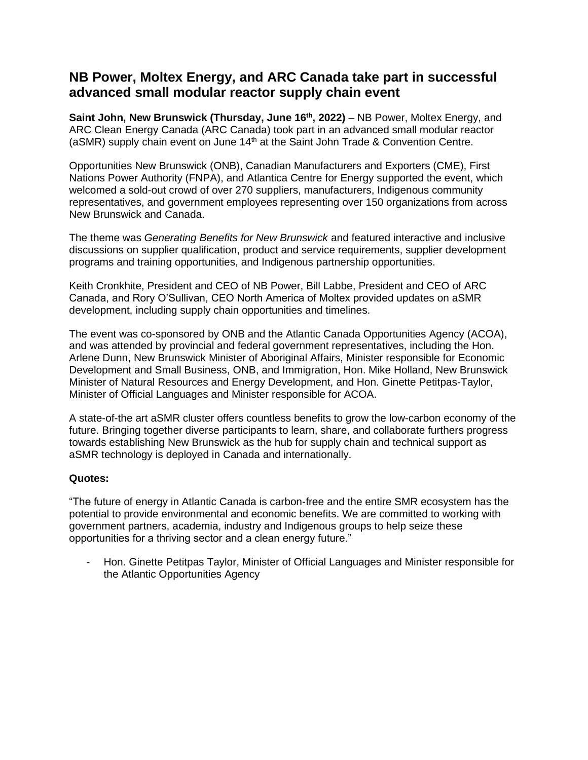# **NB Power, Moltex Energy, and ARC Canada take part in successful advanced small modular reactor supply chain event**

Saint John, New Brunswick (Thursday, June 16<sup>th</sup>, 2022) – NB Power, Moltex Energy, and ARC Clean Energy Canada (ARC Canada) took part in an advanced small modular reactor (aSMR) supply chain event on June 14<sup>th</sup> at the Saint John Trade & Convention Centre.

Opportunities New Brunswick (ONB), Canadian Manufacturers and Exporters (CME), First Nations Power Authority (FNPA), and Atlantica Centre for Energy supported the event, which welcomed a sold-out crowd of over 270 suppliers, manufacturers, Indigenous community representatives, and government employees representing over 150 organizations from across New Brunswick and Canada.

The theme was *Generating Benefits for New Brunswick* and featured interactive and inclusive discussions on supplier qualification, product and service requirements, supplier development programs and training opportunities, and Indigenous partnership opportunities.

Keith Cronkhite, President and CEO of NB Power, Bill Labbe, President and CEO of ARC Canada, and Rory O'Sullivan, CEO North America of Moltex provided updates on aSMR development, including supply chain opportunities and timelines.

The event was co-sponsored by ONB and the Atlantic Canada Opportunities Agency (ACOA), and was attended by provincial and federal government representatives, including the Hon. Arlene Dunn, New Brunswick Minister of Aboriginal Affairs, Minister responsible for Economic Development and Small Business, ONB, and Immigration, Hon. Mike Holland, New Brunswick Minister of Natural Resources and Energy Development, and Hon. Ginette Petitpas-Taylor, Minister of Official Languages and Minister responsible for ACOA.

A state-of-the art aSMR cluster offers countless benefits to grow the low-carbon economy of the future. Bringing together diverse participants to learn, share, and collaborate furthers progress towards establishing New Brunswick as the hub for supply chain and technical support as aSMR technology is deployed in Canada and internationally.

## **Quotes:**

"The future of energy in Atlantic Canada is carbon-free and the entire SMR ecosystem has the potential to provide environmental and economic benefits. We are committed to working with government partners, academia, industry and Indigenous groups to help seize these opportunities for a thriving sector and a clean energy future."

- Hon. Ginette Petitpas Taylor, Minister of Official Languages and Minister responsible for the Atlantic Opportunities Agency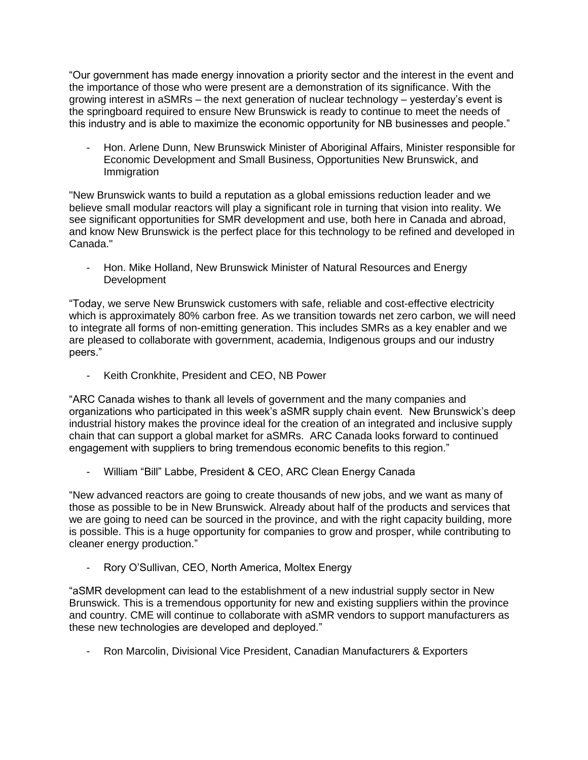"Our government has made energy innovation a priority sector and the interest in the event and the importance of those who were present are a demonstration of its significance. With the growing interest in aSMRs – the next generation of nuclear technology – yesterday's event is the springboard required to ensure New Brunswick is ready to continue to meet the needs of this industry and is able to maximize the economic opportunity for NB businesses and people."

Hon. Arlene Dunn, New Brunswick Minister of Aboriginal Affairs, Minister responsible for Economic Development and Small Business, Opportunities New Brunswick, and **Immigration** 

"New Brunswick wants to build a reputation as a global emissions reduction leader and we believe small modular reactors will play a significant role in turning that vision into reality. We see significant opportunities for SMR development and use, both here in Canada and abroad, and know New Brunswick is the perfect place for this technology to be refined and developed in Canada."

- Hon. Mike Holland, New Brunswick Minister of Natural Resources and Energy Development

"Today, we serve New Brunswick customers with safe, reliable and cost-effective electricity which is approximately 80% carbon free. As we transition towards net zero carbon, we will need to integrate all forms of non-emitting generation. This includes SMRs as a key enabler and we are pleased to collaborate with government, academia, Indigenous groups and our industry peers."

- Keith Cronkhite, President and CEO, NB Power

"ARC Canada wishes to thank all levels of government and the many companies and organizations who participated in this week's aSMR supply chain event. New Brunswick's deep industrial history makes the province ideal for the creation of an integrated and inclusive supply chain that can support a global market for aSMRs. ARC Canada looks forward to continued engagement with suppliers to bring tremendous economic benefits to this region."

William "Bill" Labbe, President & CEO, ARC Clean Energy Canada

"New advanced reactors are going to create thousands of new jobs, and we want as many of those as possible to be in New Brunswick. Already about half of the products and services that we are going to need can be sourced in the province, and with the right capacity building, more is possible. This is a huge opportunity for companies to grow and prosper, while contributing to cleaner energy production."

Rory O'Sullivan, CEO, North America, Moltex Energy

"aSMR development can lead to the establishment of a new industrial supply sector in New Brunswick. This is a tremendous opportunity for new and existing suppliers within the province and country. CME will continue to collaborate with aSMR vendors to support manufacturers as these new technologies are developed and deployed."

- Ron Marcolin, Divisional Vice President, Canadian Manufacturers & Exporters